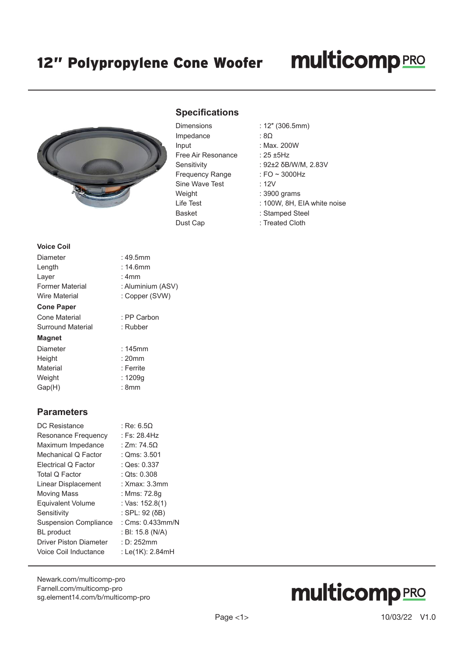### **multicomp**PRO



#### **Specifications**

| Dimensions             |
|------------------------|
| Impedance              |
| Input                  |
| Free Air Resonance     |
| Sensitivity            |
| <b>Frequency Range</b> |
| Sine Wave Test         |
| Weight                 |
| Life Test              |
| <b>Basket</b>          |
| Dust Cap               |

- Dimensions : 12″ (306.5mm)
	- $:8\Omega$
	- : Max. 200W
	- : 25  $±5Hz$
	- : 92±2 δB/W/M, 2.83V
	- $:$  FO  $\sim$  3000Hz
	- $: 12V$
	- : 3900 grams
	- : 100W, 8H, EIA white noise
	- : Stamped Steel
	- : Treated Cloth

#### **Voice Coil**

| Diameter               | : 49.5mm          |
|------------------------|-------------------|
| Length                 | $: 14.6$ mm       |
| Layer                  | : 4mm             |
| <b>Former Material</b> | : Aluminium (ASV) |
| Wire Material          | : Copper (SVW)    |
| <b>Cone Paper</b>      |                   |
| Cone Material          | : PP Carbon       |
| Surround Material      | : Rubber          |
| <b>Magnet</b>          |                   |
| Diameter               | $: 145$ mm        |
| Height                 | : 20mm            |
| Material               | : Ferrite         |
| Weight                 | : 1209q           |
| Gap(H)                 | : 8mm             |
|                        |                   |

#### **Parameters**

| DC Resistance                 | : Re: 6.50       |
|-------------------------------|------------------|
| Resonance Frequency           | : Fs: 28.4Hz     |
| Maximum Impedance             | : Zm: 74.5Ω      |
| Mechanical Q Factor           | : Qms: 3.501     |
| Electrical Q Factor           | : Qes: 0.337     |
| Total Q Factor                | : $Qts: 0.308$   |
| Linear Displacement           | : Xmax: 3.3mm    |
| Moving Mass                   | : Mms: 72.8q     |
| <b>Equivalent Volume</b>      | : Vas: 152.8(1)  |
| Sensitivity                   | : SPL: 92 (δB)   |
| <b>Suspension Compliance</b>  | : Cms: 0.433mm/N |
| <b>BL</b> product             | : BI: 15.8 (N/A) |
| <b>Driver Piston Diameter</b> | : D: 252mm       |
| Voice Coil Inductance         | : Le(1K): 2.84mH |
|                               |                  |

[Newark.com/multicomp-](https://www.newark.com/multicomp-pro)pro [Farnell.com/multicomp](https://www.farnell.com/multicomp-pro)-pro [sg.element14.com/b/multicomp-pro](https://sg.element14.com/b/multicomp-pro)

# **multicomp**PRO